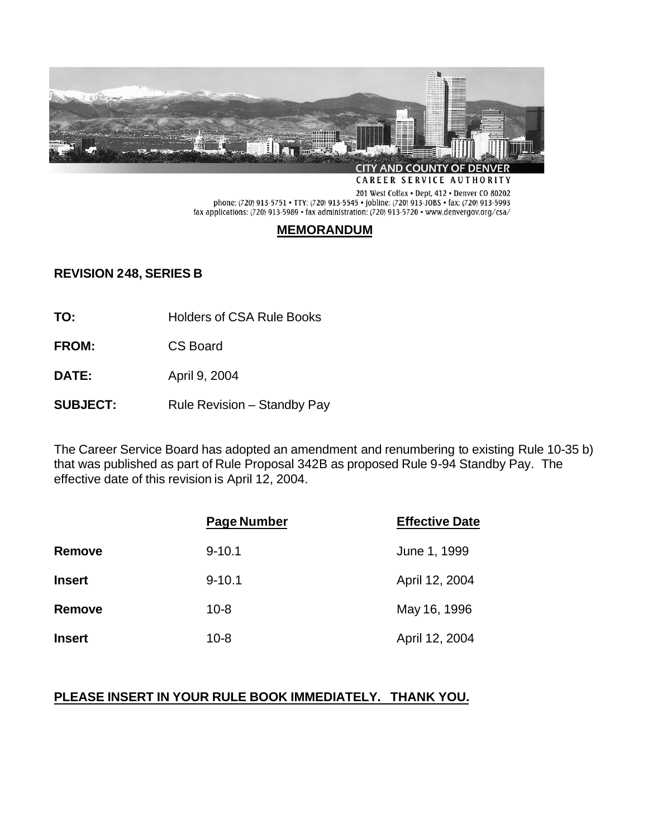

CAREER SERVICE AUTHORITY

201 West Colfax • Dept. 412 • Denver CO 80202<br>phone: (720) 913-5751 • TTY: (720) 913-5545 • jobline: (720) 913-JOBS • fax: (720) 913-5993 fax applications: (720) 913-5989 • fax administration: (720) 913-5720 • www.denvergov.org/csa/

## **MEMORANDUM**

### **REVISION 248, SERIES B**

**TO:** Holders of CSA Rule Books

- **FROM:** CS Board
- **DATE:** April 9, 2004
- **SUBJECT:** Rule Revision Standby Pay

The Career Service Board has adopted an amendment and renumbering to existing Rule 10-35 b) that was published as part of Rule Proposal 342B as proposed Rule 9-94 Standby Pay. The effective date of this revision is April 12, 2004.

|               | <b>Page Number</b> | <b>Effective Date</b> |
|---------------|--------------------|-----------------------|
| Remove        | $9 - 10.1$         | June 1, 1999          |
| <b>Insert</b> | $9 - 10.1$         | April 12, 2004        |
| <b>Remove</b> | $10 - 8$           | May 16, 1996          |
| <b>Insert</b> | $10 - 8$           | April 12, 2004        |

# **PLEASE INSERT IN YOUR RULE BOOK IMMEDIATELY. THANK YOU.**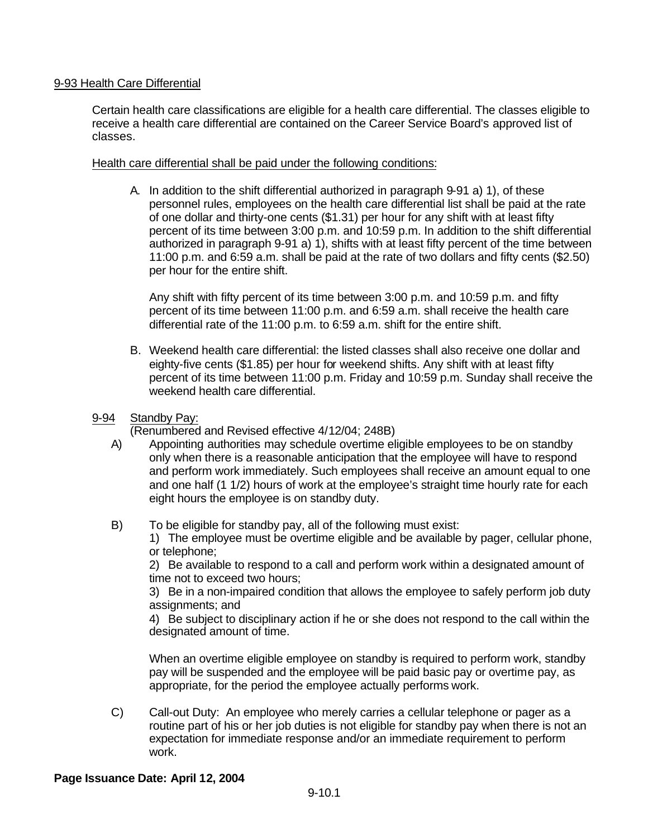### 9-93 Health Care Differential

Certain health care classifications are eligible for a health care differential. The classes eligible to receive a health care differential are contained on the Career Service Board's approved list of classes.

### Health care differential shall be paid under the following conditions:

A. In addition to the shift differential authorized in paragraph 9-91 a) 1), of these personnel rules, employees on the health care differential list shall be paid at the rate of one dollar and thirty-one cents (\$1.31) per hour for any shift with at least fifty percent of its time between 3:00 p.m. and 10:59 p.m. In addition to the shift differential authorized in paragraph 9-91 a) 1), shifts with at least fifty percent of the time between 11:00 p.m. and 6:59 a.m. shall be paid at the rate of two dollars and fifty cents (\$2.50) per hour for the entire shift.

Any shift with fifty percent of its time between 3:00 p.m. and 10:59 p.m. and fifty percent of its time between 11:00 p.m. and 6:59 a.m. shall receive the health care differential rate of the 11:00 p.m. to 6:59 a.m. shift for the entire shift.

- B. Weekend health care differential: the listed classes shall also receive one dollar and eighty-five cents (\$1.85) per hour for weekend shifts. Any shift with at least fifty percent of its time between 11:00 p.m. Friday and 10:59 p.m. Sunday shall receive the weekend health care differential.
- 9-94 Standby Pay:

(Renumbered and Revised effective 4/12/04; 248B)

- A) Appointing authorities may schedule overtime eligible employees to be on standby only when there is a reasonable anticipation that the employee will have to respond and perform work immediately. Such employees shall receive an amount equal to one and one half (1 1/2) hours of work at the employee's straight time hourly rate for each eight hours the employee is on standby duty.
- B) To be eligible for standby pay, all of the following must exist: 1) The employee must be overtime eligible and be available by pager, cellular phone, or telephone;

2) Be available to respond to a call and perform work within a designated amount of time not to exceed two hours;

3) Be in a non-impaired condition that allows the employee to safely perform job duty assignments; and

4) Be subject to disciplinary action if he or she does not respond to the call within the designated amount of time.

When an overtime eligible employee on standby is required to perform work, standby pay will be suspended and the employee will be paid basic pay or overtime pay, as appropriate, for the period the employee actually performs work.

C) Call-out Duty: An employee who merely carries a cellular telephone or pager as a routine part of his or her job duties is not eligible for standby pay when there is not an expectation for immediate response and/or an immediate requirement to perform work.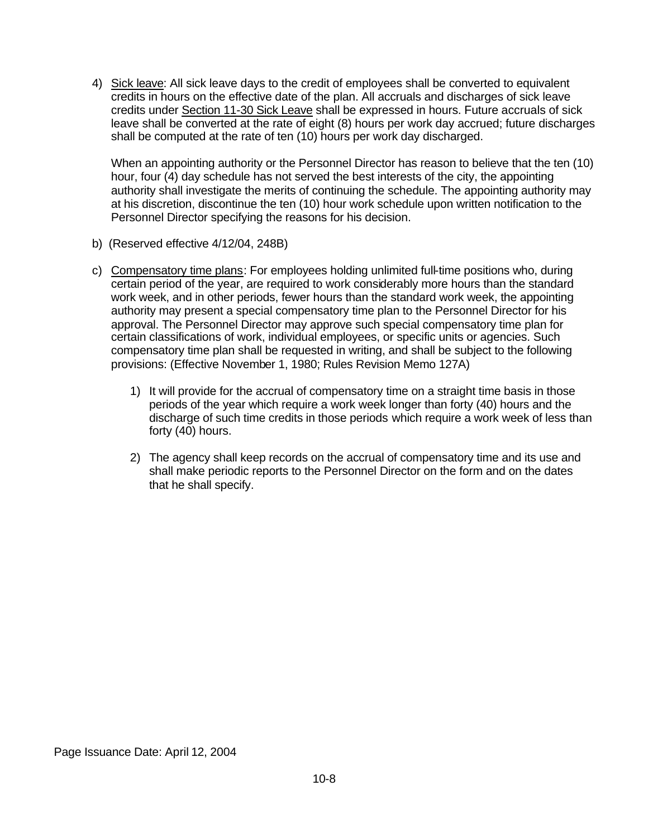4) Sick leave: All sick leave days to the credit of employees shall be converted to equivalent credits in hours on the effective date of the plan. All accruals and discharges of sick leave credits under Section 11-30 Sick Leave shall be expressed in hours. Future accruals of sick leave shall be converted at the rate of eight (8) hours per work day accrued; future discharges shall be computed at the rate of ten (10) hours per work day discharged.

When an appointing authority or the Personnel Director has reason to believe that the ten (10) hour, four (4) day schedule has not served the best interests of the city, the appointing authority shall investigate the merits of continuing the schedule. The appointing authority may at his discretion, discontinue the ten (10) hour work schedule upon written notification to the Personnel Director specifying the reasons for his decision.

- b) (Reserved effective 4/12/04, 248B)
- c) Compensatory time plans: For employees holding unlimited full-time positions who, during certain period of the year, are required to work considerably more hours than the standard work week, and in other periods, fewer hours than the standard work week, the appointing authority may present a special compensatory time plan to the Personnel Director for his approval. The Personnel Director may approve such special compensatory time plan for certain classifications of work, individual employees, or specific units or agencies. Such compensatory time plan shall be requested in writing, and shall be subject to the following provisions: (Effective November 1, 1980; Rules Revision Memo 127A)
	- 1) It will provide for the accrual of compensatory time on a straight time basis in those periods of the year which require a work week longer than forty (40) hours and the discharge of such time credits in those periods which require a work week of less than forty (40) hours.
	- 2) The agency shall keep records on the accrual of compensatory time and its use and shall make periodic reports to the Personnel Director on the form and on the dates that he shall specify.